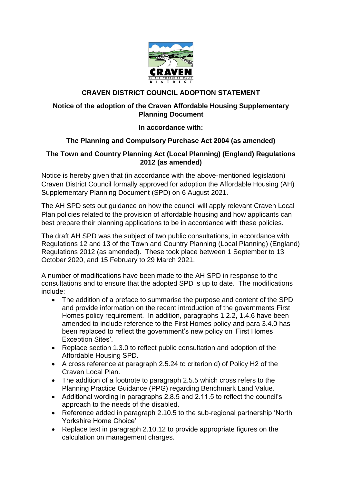

# **CRAVEN DISTRICT COUNCIL ADOPTION STATEMENT**

# **Notice of the adoption of the Craven Affordable Housing Supplementary Planning Document**

### **In accordance with:**

# **The Planning and Compulsory Purchase Act 2004 (as amended)**

#### **The Town and Country Planning Act (Local Planning) (England) Regulations 2012 (as amended)**

Notice is hereby given that (in accordance with the above-mentioned legislation) Craven District Council formally approved for adoption the Affordable Housing (AH) Supplementary Planning Document (SPD) on 6 August 2021.

The AH SPD sets out guidance on how the council will apply relevant Craven Local Plan policies related to the provision of affordable housing and how applicants can best prepare their planning applications to be in accordance with these policies.

The draft AH SPD was the subject of two public consultations, in accordance with Regulations 12 and 13 of the Town and Country Planning (Local Planning) (England) Regulations 2012 (as amended). These took place between 1 September to 13 October 2020, and 15 February to 29 March 2021.

A number of modifications have been made to the AH SPD in response to the consultations and to ensure that the adopted SPD is up to date. The modifications include:

- The addition of a preface to summarise the purpose and content of the SPD and provide information on the recent introduction of the governments First Homes policy requirement. In addition, paragraphs 1.2.2, 1.4.6 have been amended to include reference to the First Homes policy and para 3.4.0 has been replaced to reflect the government's new policy on 'First Homes Exception Sites'.
- Replace section 1.3.0 to reflect public consultation and adoption of the Affordable Housing SPD.
- A cross reference at paragraph 2.5.24 to criterion d) of Policy H2 of the Craven Local Plan.
- The addition of a footnote to paragraph 2.5.5 which cross refers to the Planning Practice Guidance (PPG) regarding Benchmark Land Value.
- Additional wording in paragraphs 2.8.5 and 2.11.5 to reflect the council's approach to the needs of the disabled.
- Reference added in paragraph 2.10.5 to the sub-regional partnership 'North Yorkshire Home Choice'
- Replace text in paragraph 2.10.12 to provide appropriate figures on the calculation on management charges.